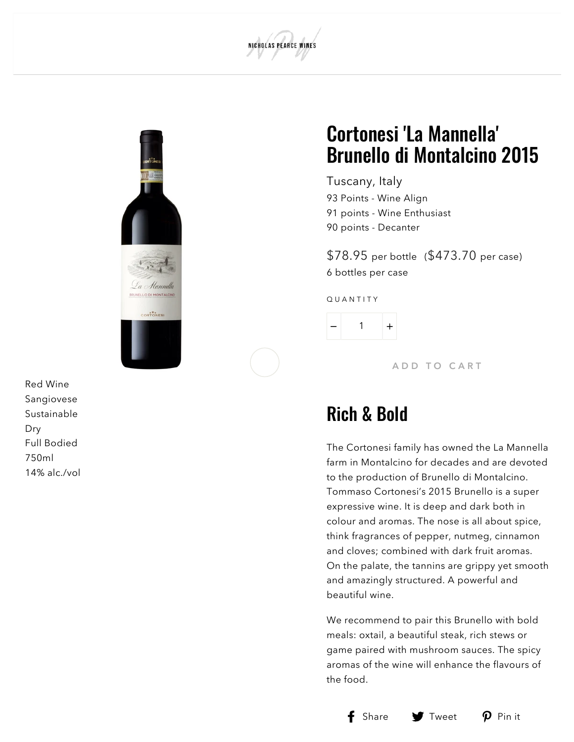



R e d Win e S a n gio v e s e S u s t ain a ble D r y F ull B o die d 7 5 0 ml 14% alc./ v

### ortonesi 'La Mannella' Brunello di Montalcino 2 0 1 5

T u s c a n y , It aly 93 Points - Wine [Alig](#page-1-0)n 91 points - [Win](#page-1-1)e Enthusiast 90 p[oin](#page-1-2)ts - Decanter

\$78.95 per bottle (\$473.70 per case) 6 bottles per case

QUANTITY

1  $+$ 

ADD TO CART

### R ich & B o l d

The Cortonesi family has owned the La Mannella farm in Montalcino for decades and are devoted to the production of Brunello di Montalcino. Tommaso Cortonesi's 2015 Brunello is a sup e r expressive wine. It is deep and dark both in colour and aromas. The nose is all about spice, think fragrances of pepper, nutmeg, cinnamon and cloves; combined with dark fruit aromas. On the palate, the tannins are grippy yet smooth and amazingly structured. A powerful and b e a u tif ul win e.

We recommend to pair this Brunello with bold meals: oxtail, a beautiful steak, rich stews or game paired with mushroom sauces. The spicy aromas of the wine will enhance the flavours of the foor d.<br>[S](https://www.facebook.com/sharer.php?u=https://www.npwines.com/products/copy-of-cortonesi-leonus-igt-toscana)hare





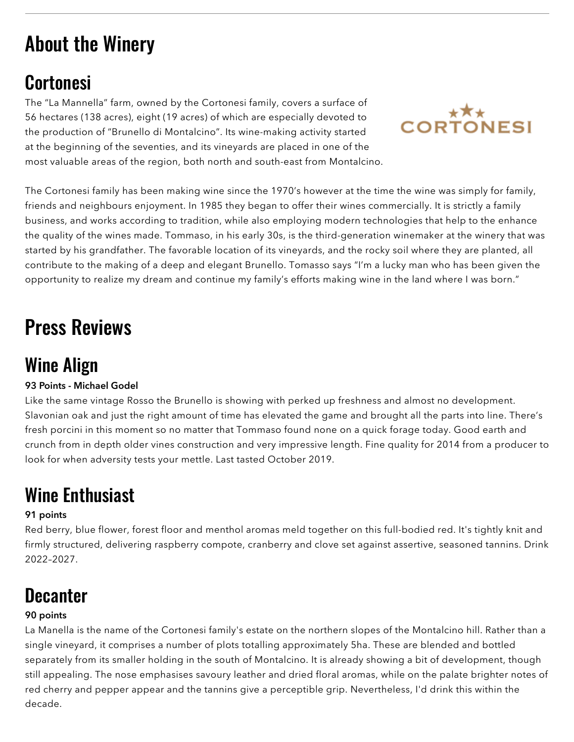# About the Winery

### **Cortonesi**

The "La Mannella" farm, owned by the Cortonesi family, covers a surface of 56 hectares (138 acres), eight (19 acres) of which are especially devoted to the production of "Brunello di Montalcino". Its wine-making activity started at the beginning of the seventies, and its vineyards are placed in one of the most valuable areas of the region, both north and south-east from Montalcino.



The Cortonesi family has been making wine since the 1970's however at the time the wine was simply for family, friends and neighbours enjoyment. In 1985 they began to offer their wines commercially. It is strictly a family business, and works according to tradition, while also employing modern technologies that help to the enhance the quality of the wines made. Tommaso, in his early 30s, is the third-generation winemaker at the winery that was started by his grandfather. The favorable location of its vineyards, and the rocky soil where they are planted, all contribute to the making of a deep and elegant Brunello. Tomasso says "I'm a lucky man who has been given the opportunity to realize my dream and continue my family's efforts making wine in the land where I was born."

## Press Reviews

### <span id="page-1-0"></span>Wine Align

#### 93 Points - Michael Godel

Like the same vintage Rosso the Brunello is showing with perked up freshness and almost no development. Slavonian oak and just the right amount of time has elevated the game and brought all the parts into line. There's fresh porcini in this moment so no matter that Tommaso found none on a quick forage today. Good earth and crunch from in depth older vines construction and very impressive length. Fine quality for 2014 from a producer to look for when adversity tests your mettle. Last tasted October 2019.

## <span id="page-1-1"></span>Wine Enthusiast

#### 91 points

Red berry, blue flower, forest floor and menthol aromas meld together on this full-bodied red. It's tightly knit and firmly structured, delivering raspberry compote, cranberry and clove set against assertive, seasoned tannins. Drink 2022–2027.

### <span id="page-1-2"></span>**Decanter**

### 90 points

La Manella is the name of the Cortonesi family's estate on the northern slopes of the Montalcino hill. Rather than a single vineyard, it comprises a number of plots totalling approximately 5ha. These are blended and bottled separately from its smaller holding in the south of Montalcino. It is already showing a bit of development, though still appealing. The nose emphasises savoury leather and dried floral aromas, while on the palate brighter notes of red cherry and pepper appear and the tannins give a perceptible grip. Nevertheless, I'd drink this within the decade.